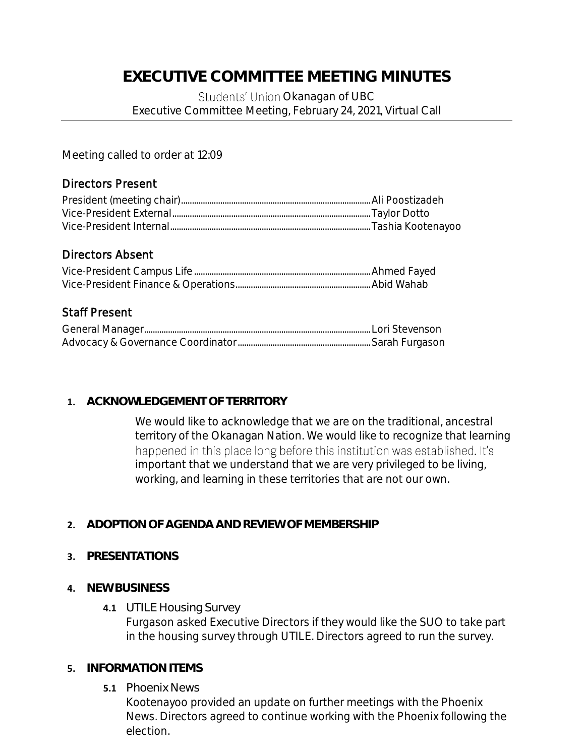# **EXECUTIVE COMMITTEE MEETING MINUTES**

Students' Union Okanagan of UBC Executive Committee Meeting, February 24, 2021, Virtual Call

Meeting called to order at 12:09

# Directors Present

# Directors Absent

# Staff Present

### **1. ACKNOWLEDGEMENT OF TERRITORY**

We would like to acknowledge that we are on the traditional, ancestral territory of the Okanagan Nation. We would like to recognize that learning happened in this place long before this institution was established. It's important that we understand that we are very privileged to be living, working, and learning in these territories that are not our own.

**2. ADOPTION OF AGENDA AND REVIEW OF MEMBERSHIP**

### **3. PRESENTATIONS**

- **4. NEW BUSINESS**
	- **4.1** UTILE Housing Survey Furgason asked Executive Directors if they would like the SUO to take part in the housing survey through UTILE. Directors agreed to run the survey.

### **5. INFORMATION ITEMS**

#### **5.1** Phoenix News

Kootenayoo provided an update on further meetings with the Phoenix News. Directors agreed to continue working with the Phoenix following the election.